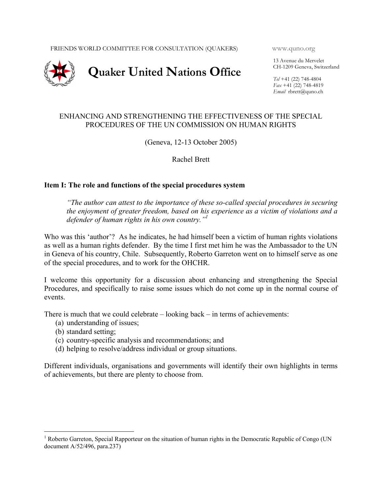FRIENDS WORLD COMMITTEE FOR CONSULTATION (QUAKERS) www.quno.org



13 Avenue du Mervelet CH-1209 Geneva, Switzerland

*Tel* +41 (22) 748-4804 *Fax* +41 (22) 748-4819 *Email* rbrett@quno.ch

# ENHANCING AND STRENGTHENING THE EFFECTIVENESS OF THE SPECIAL PROCEDURES OF THE UN COMMISSION ON HUMAN RIGHTS

(Geneva, 12-13 October 2005)

Rachel Brett

# **Item I: The role and functions of the special procedures system**

*"The author can attest to the importance of these so-called special procedures in securing the enjoyment of greater freedom, based on his experience as a victim of violations and a defender of human rights in his own country."1* 

Who was this 'author'? As he indicates, he had himself been a victim of human rights violations as well as a human rights defender. By the time I first met him he was the Ambassador to the UN in Geneva of his country, Chile. Subsequently, Roberto Garreton went on to himself serve as one of the special procedures, and to work for the OHCHR.

I welcome this opportunity for a discussion about enhancing and strengthening the Special Procedures, and specifically to raise some issues which do not come up in the normal course of events.

There is much that we could celebrate – looking back – in terms of achievements:

- (a) understanding of issues;
- (b) standard setting;

<u>.</u>

- (c) country-specific analysis and recommendations; and
- (d) helping to resolve/address individual or group situations.

Different individuals, organisations and governments will identify their own highlights in terms of achievements, but there are plenty to choose from.

<sup>&</sup>lt;sup>1</sup> Roberto Garreton, Special Rapporteur on the situation of human rights in the Democratic Republic of Congo (UN document A/52/496, para.237)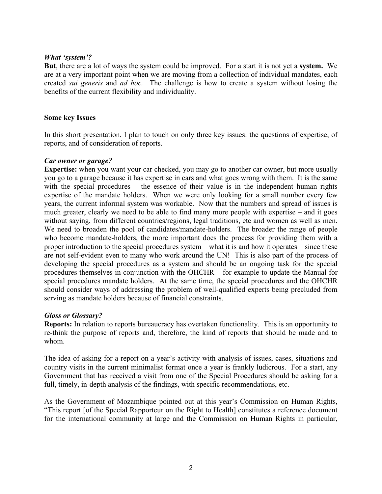### *What 'system'?*

**But**, there are a lot of ways the system could be improved. For a start it is not yet a **system.** We are at a very important point when we are moving from a collection of individual mandates, each created *sui generis* and *ad hoc.* The challenge is how to create a system without losing the benefits of the current flexibility and individuality.

### **Some key Issues**

In this short presentation, I plan to touch on only three key issues: the questions of expertise, of reports, and of consideration of reports.

### *Car owner or garage?*

**Expertise:** when you want your car checked, you may go to another car owner, but more usually you go to a garage because it has expertise in cars and what goes wrong with them. It is the same with the special procedures – the essence of their value is in the independent human rights expertise of the mandate holders. When we were only looking for a small number every few years, the current informal system was workable. Now that the numbers and spread of issues is much greater, clearly we need to be able to find many more people with expertise – and it goes without saying, from different countries/regions, legal traditions, etc and women as well as men. We need to broaden the pool of candidates/mandate-holders. The broader the range of people who become mandate-holders, the more important does the process for providing them with a proper introduction to the special procedures system – what it is and how it operates – since these are not self-evident even to many who work around the UN! This is also part of the process of developing the special procedures as a system and should be an ongoing task for the special procedures themselves in conjunction with the OHCHR – for example to update the Manual for special procedures mandate holders. At the same time, the special procedures and the OHCHR should consider ways of addressing the problem of well-qualified experts being precluded from serving as mandate holders because of financial constraints.

### *Gloss or Glossary?*

**Reports:** In relation to reports bureaucracy has overtaken functionality. This is an opportunity to re-think the purpose of reports and, therefore, the kind of reports that should be made and to whom.

The idea of asking for a report on a year's activity with analysis of issues, cases, situations and country visits in the current minimalist format once a year is frankly ludicrous. For a start, any Government that has received a visit from one of the Special Procedures should be asking for a full, timely, in-depth analysis of the findings, with specific recommendations, etc.

As the Government of Mozambique pointed out at this year's Commission on Human Rights, "This report [of the Special Rapporteur on the Right to Health] constitutes a reference document for the international community at large and the Commission on Human Rights in particular,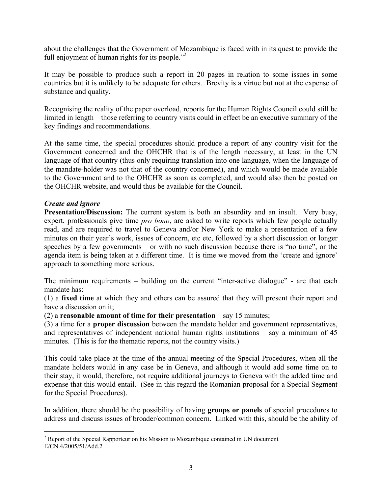about the challenges that the Government of Mozambique is faced with in its quest to provide the full enjoyment of human rights for its people. $^{32}$ 

It may be possible to produce such a report in 20 pages in relation to some issues in some countries but it is unlikely to be adequate for others. Brevity is a virtue but not at the expense of substance and quality.

Recognising the reality of the paper overload, reports for the Human Rights Council could still be limited in length – those referring to country visits could in effect be an executive summary of the key findings and recommendations.

At the same time, the special procedures should produce a report of any country visit for the Government concerned and the OHCHR that is of the length necessary, at least in the UN language of that country (thus only requiring translation into one language, when the language of the mandate-holder was not that of the country concerned), and which would be made available to the Government and to the OHCHR as soon as completed, and would also then be posted on the OHCHR website, and would thus be available for the Council.

# *Create and ignore*

<u>.</u>

**Presentation/Discussion:** The current system is both an absurdity and an insult. Very busy, expert, professionals give time *pro bono*, are asked to write reports which few people actually read, and are required to travel to Geneva and/or New York to make a presentation of a few minutes on their year's work, issues of concern, etc etc, followed by a short discussion or longer speeches by a few governments – or with no such discussion because there is "no time", or the agenda item is being taken at a different time. It is time we moved from the 'create and ignore' approach to something more serious.

The minimum requirements – building on the current "inter-active dialogue" - are that each mandate has:

(1) a **fixed time** at which they and others can be assured that they will present their report and have a discussion on it;

(2) a **reasonable amount of time for their presentation** – say 15 minutes;

(3) a time for a **proper discussion** between the mandate holder and government representatives, and representatives of independent national human rights institutions – say a minimum of 45 minutes. (This is for the thematic reports, not the country visits.)

This could take place at the time of the annual meeting of the Special Procedures, when all the mandate holders would in any case be in Geneva, and although it would add some time on to their stay, it would, therefore, not require additional journeys to Geneva with the added time and expense that this would entail. (See in this regard the Romanian proposal for a Special Segment for the Special Procedures).

In addition, there should be the possibility of having **groups or panels** of special procedures to address and discuss issues of broader/common concern. Linked with this, should be the ability of

 $2^2$  Report of the Special Rapporteur on his Mission to Mozambique contained in UN document E/CN.4/2005/51/Add.2